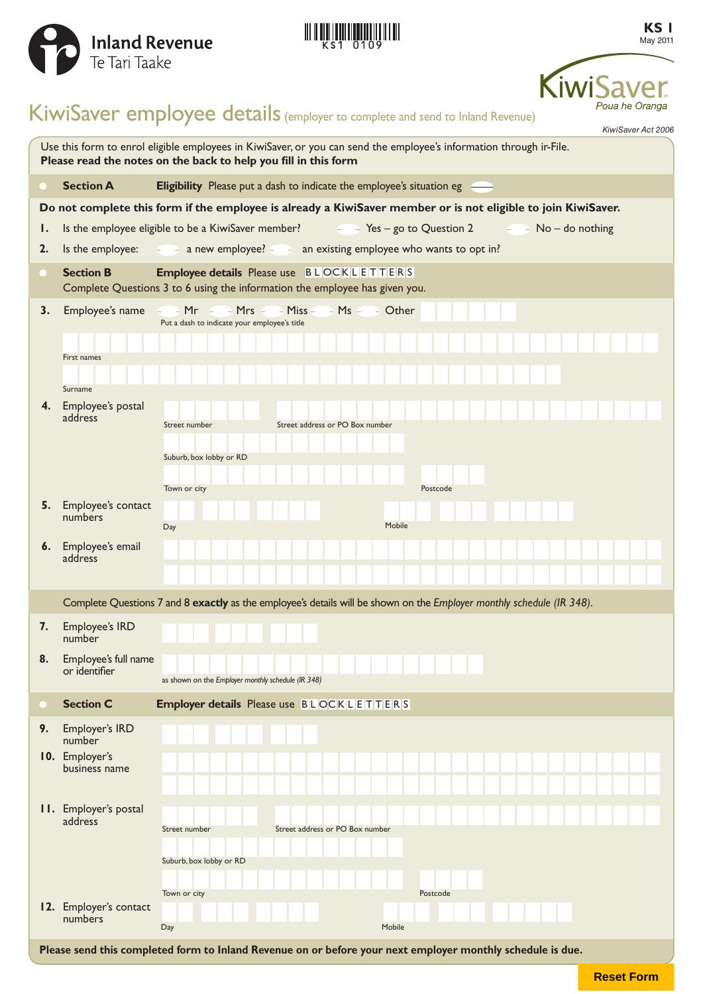





# KiwiSaver employee details (employer to complete and send to Inland Revenue)

|                                                                                                                                                                                        |                                            | KiwiSaver Act 2006                                                                                                             |
|----------------------------------------------------------------------------------------------------------------------------------------------------------------------------------------|--------------------------------------------|--------------------------------------------------------------------------------------------------------------------------------|
| Use this form to enrol eligible employees in KiwiSaver, or you can send the employee's information through ir-File.<br>Please read the notes on the back to help you fill in this form |                                            |                                                                                                                                |
|                                                                                                                                                                                        | <b>Section A</b>                           | Eligibility Please put a dash to indicate the employee's situation eg                                                          |
| Do not complete this form if the employee is already a KiwiSaver member or is not eligible to join KiwiSaver.                                                                          |                                            |                                                                                                                                |
| ı.                                                                                                                                                                                     |                                            | Is the employee eligible to be a KiwiSaver member?<br>Yes – go to Question 2 $-$ - No – do nothing                             |
| 2.                                                                                                                                                                                     | Is the employee:                           | $\epsilon$ a new employee? $\epsilon$ an existing employee who wants to opt in?                                                |
|                                                                                                                                                                                        | <b>Section B</b>                           | <b>Employee details</b> Please use BLOCKLETTERS<br>Complete Questions 3 to 6 using the information the employee has given you. |
| 3.                                                                                                                                                                                     | First names                                | Put a dash to indicate your employee's title                                                                                   |
|                                                                                                                                                                                        | Surname<br>4. Employee's postal<br>address |                                                                                                                                |
|                                                                                                                                                                                        |                                            | Street address or PO Box number<br>Street number<br>Suburb, box lobby or RD<br>Town or city<br>Postcode                        |
| 5.                                                                                                                                                                                     | Employee's contact<br>numbers              |                                                                                                                                |
| 6.                                                                                                                                                                                     | Employee's email<br>address                | Mobile<br>Day                                                                                                                  |
|                                                                                                                                                                                        |                                            | Complete Questions 7 and 8 exactly as the employee's details will be shown on the Employer monthly schedule (IR 348).          |
| 7.                                                                                                                                                                                     | Employee's IRD<br>number                   |                                                                                                                                |
| 8.                                                                                                                                                                                     | Employee's full name<br>or identifier      | as shown on the Employer monthly schedule (IR 348)                                                                             |
|                                                                                                                                                                                        | <b>Section C</b>                           | Employer details Please use BLOCKLETTERS                                                                                       |
| 9.                                                                                                                                                                                     | Employer's IRD                             |                                                                                                                                |
|                                                                                                                                                                                        | number<br>10. Employer's<br>business name  |                                                                                                                                |
|                                                                                                                                                                                        | <b>11.</b> Employer's postal<br>address    | Street address or PO Box number<br>Street number<br>Suburb, box lobby or RD<br>Town or city<br>Postcode                        |
|                                                                                                                                                                                        | 12. Employer's contact<br>numbers          | Day<br>Mobile                                                                                                                  |
| Please send this completed form to Inland Revenue on or before your next employer monthly schedule is due.                                                                             |                                            |                                                                                                                                |